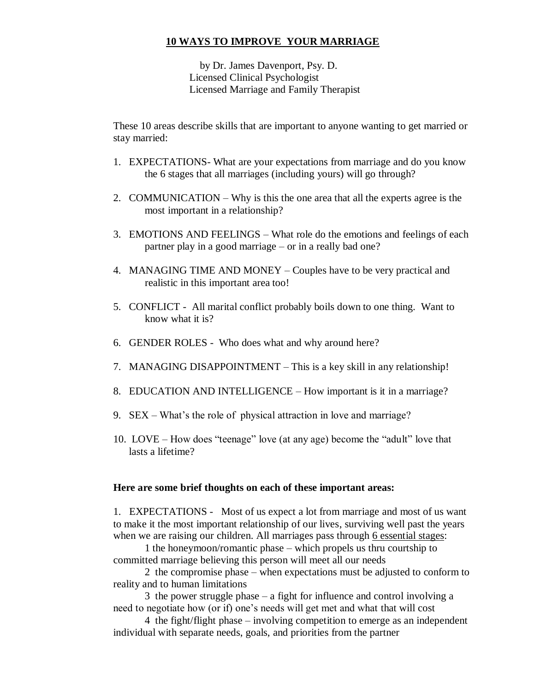## **10 WAYS TO IMPROVE YOUR MARRIAGE**

 by Dr. James Davenport, Psy. D. Licensed Clinical Psychologist Licensed Marriage and Family Therapist

These 10 areas describe skills that are important to anyone wanting to get married or stay married:

- 1. EXPECTATIONS- What are your expectations from marriage and do you know the 6 stages that all marriages (including yours) will go through?
- 2. COMMUNICATION Why is this the one area that all the experts agree is the most important in a relationship?
- 3. EMOTIONS AND FEELINGS What role do the emotions and feelings of each partner play in a good marriage – or in a really bad one?
- 4. MANAGING TIME AND MONEY Couples have to be very practical and realistic in this important area too!
- 5. CONFLICT All marital conflict probably boils down to one thing. Want to know what it is?
- 6. GENDER ROLES Who does what and why around here?
- 7. MANAGING DISAPPOINTMENT This is a key skill in any relationship!
- 8. EDUCATION AND INTELLIGENCE How important is it in a marriage?
- 9. SEX What's the role of physical attraction in love and marriage?
- 10. LOVE How does "teenage" love (at any age) become the "adult" love that lasts a lifetime?

## **Here are some brief thoughts on each of these important areas:**

1. EXPECTATIONS - Most of us expect a lot from marriage and most of us want to make it the most important relationship of our lives, surviving well past the years when we are raising our children. All marriages pass through 6 essential stages:

1 the honeymoon/romantic phase – which propels us thru courtship to committed marriage believing this person will meet all our needs

2 the compromise phase – when expectations must be adjusted to conform to reality and to human limitations

3 the power struggle phase – a fight for influence and control involving a need to negotiate how (or if) one's needs will get met and what that will cost

4 the fight/flight phase – involving competition to emerge as an independent individual with separate needs, goals, and priorities from the partner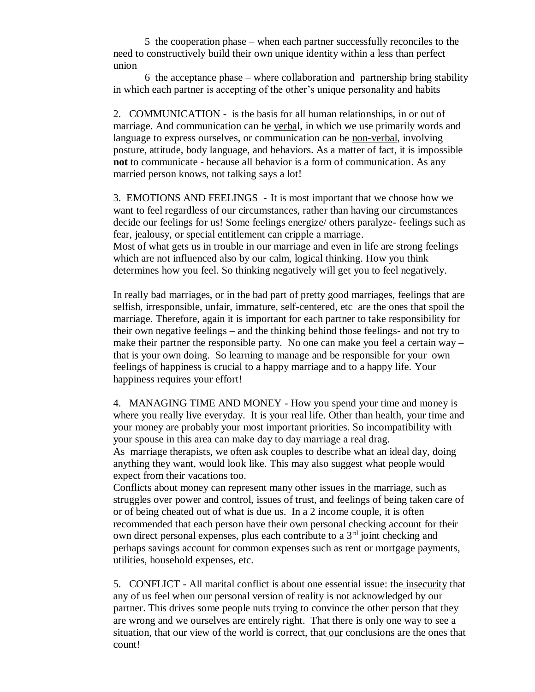5 the cooperation phase – when each partner successfully reconciles to the need to constructively build their own unique identity within a less than perfect union

6 the acceptance phase – where collaboration and partnership bring stability in which each partner is accepting of the other's unique personality and habits

2. COMMUNICATION - is the basis for all human relationships, in or out of marriage. And communication can be verbal, in which we use primarily words and language to express ourselves, or communication can be non-verbal, involving posture, attitude, body language, and behaviors. As a matter of fact, it is impossible **not** to communicate - because all behavior is a form of communication. As any married person knows, not talking says a lot!

3. EMOTIONS AND FEELINGS - It is most important that we choose how we want to feel regardless of our circumstances, rather than having our circumstances decide our feelings for us! Some feelings energize/ others paralyze- feelings such as fear, jealousy, or special entitlement can cripple a marriage. Most of what gets us in trouble in our marriage and even in life are strong feelings which are not influenced also by our calm, logical thinking. How you think

determines how you feel. So thinking negatively will get you to feel negatively.

In really bad marriages, or in the bad part of pretty good marriages, feelings that are selfish, irresponsible, unfair, immature, self-centered, etc are the ones that spoil the marriage. Therefore, again it is important for each partner to take responsibility for their own negative feelings – and the thinking behind those feelings- and not try to make their partner the responsible party. No one can make you feel a certain  $way$ that is your own doing. So learning to manage and be responsible for your own feelings of happiness is crucial to a happy marriage and to a happy life. Your happiness requires your effort!

4. MANAGING TIME AND MONEY - How you spend your time and money is where you really live everyday. It is your real life. Other than health, your time and your money are probably your most important priorities. So incompatibility with your spouse in this area can make day to day marriage a real drag. As marriage therapists, we often ask couples to describe what an ideal day, doing anything they want, would look like. This may also suggest what people would expect from their vacations too.

Conflicts about money can represent many other issues in the marriage, such as struggles over power and control, issues of trust, and feelings of being taken care of or of being cheated out of what is due us. In a 2 income couple, it is often recommended that each person have their own personal checking account for their own direct personal expenses, plus each contribute to a  $3<sup>rd</sup>$  joint checking and perhaps savings account for common expenses such as rent or mortgage payments, utilities, household expenses, etc.

5. CONFLICT - All marital conflict is about one essential issue: the insecurity that any of us feel when our personal version of reality is not acknowledged by our partner. This drives some people nuts trying to convince the other person that they are wrong and we ourselves are entirely right. That there is only one way to see a situation, that our view of the world is correct, that our conclusions are the ones that count!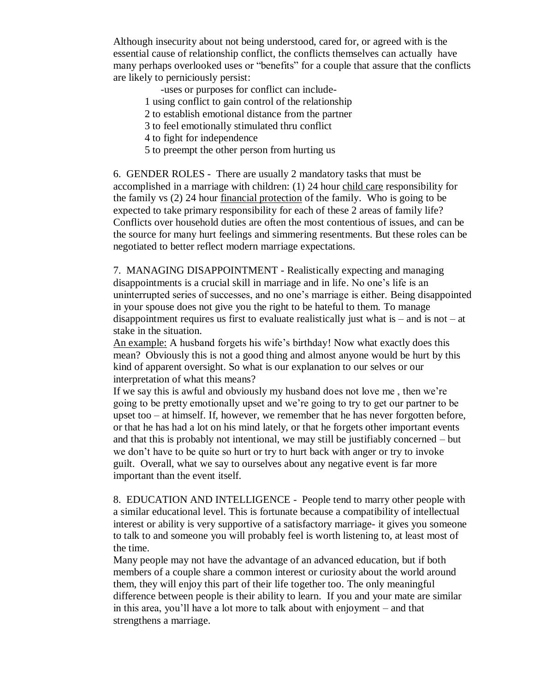Although insecurity about not being understood, cared for, or agreed with is the essential cause of relationship conflict, the conflicts themselves can actually have many perhaps overlooked uses or "benefits" for a couple that assure that the conflicts are likely to perniciously persist:

-uses or purposes for conflict can include-

- 1 using conflict to gain control of the relationship
- 2 to establish emotional distance from the partner
- 3 to feel emotionally stimulated thru conflict
- 4 to fight for independence
- 5 to preempt the other person from hurting us

6. GENDER ROLES - There are usually 2 mandatory tasks that must be accomplished in a marriage with children: (1) 24 hour child care responsibility for the family vs (2) 24 hour financial protection of the family. Who is going to be expected to take primary responsibility for each of these 2 areas of family life? Conflicts over household duties are often the most contentious of issues, and can be the source for many hurt feelings and simmering resentments. But these roles can be negotiated to better reflect modern marriage expectations.

7. MANAGING DISAPPOINTMENT - Realistically expecting and managing disappointments is a crucial skill in marriage and in life. No one's life is an uninterrupted series of successes, and no one's marriage is either. Being disappointed in your spouse does not give you the right to be hateful to them. To manage disappointment requires us first to evaluate realistically just what is  $-$  and is not  $-$  at stake in the situation.

An example: A husband forgets his wife's birthday! Now what exactly does this mean? Obviously this is not a good thing and almost anyone would be hurt by this kind of apparent oversight. So what is our explanation to our selves or our interpretation of what this means?

If we say this is awful and obviously my husband does not love me , then we're going to be pretty emotionally upset and we're going to try to get our partner to be upset too – at himself. If, however, we remember that he has never forgotten before, or that he has had a lot on his mind lately, or that he forgets other important events and that this is probably not intentional, we may still be justifiably concerned – but we don't have to be quite so hurt or try to hurt back with anger or try to invoke guilt. Overall, what we say to ourselves about any negative event is far more important than the event itself.

8. EDUCATION AND INTELLIGENCE - People tend to marry other people with a similar educational level. This is fortunate because a compatibility of intellectual interest or ability is very supportive of a satisfactory marriage- it gives you someone to talk to and someone you will probably feel is worth listening to, at least most of the time.

Many people may not have the advantage of an advanced education, but if both members of a couple share a common interest or curiosity about the world around them, they will enjoy this part of their life together too. The only meaningful difference between people is their ability to learn. If you and your mate are similar in this area, you'll have a lot more to talk about with enjoyment – and that strengthens a marriage.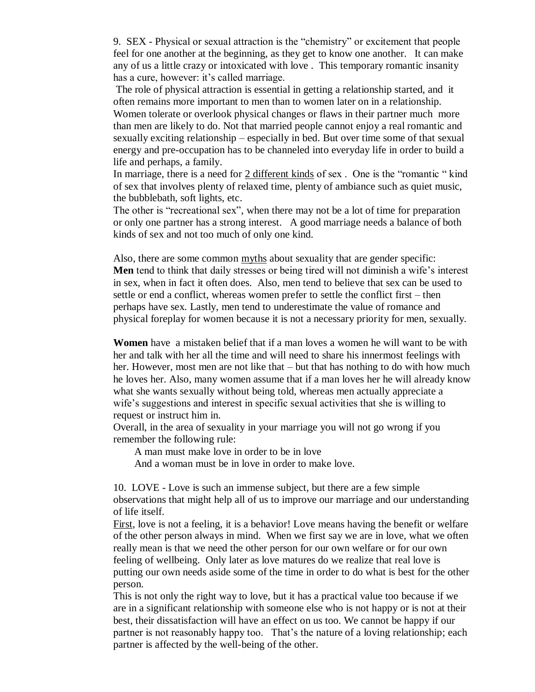9. SEX - Physical or sexual attraction is the "chemistry" or excitement that people feel for one another at the beginning, as they get to know one another. It can make any of us a little crazy or intoxicated with love . This temporary romantic insanity has a cure, however: it's called marriage.

The role of physical attraction is essential in getting a relationship started, and it often remains more important to men than to women later on in a relationship. Women tolerate or overlook physical changes or flaws in their partner much more than men are likely to do. Not that married people cannot enjoy a real romantic and sexually exciting relationship – especially in bed. But over time some of that sexual energy and pre-occupation has to be channeled into everyday life in order to build a life and perhaps, a family.

In marriage, there is a need for 2 different kinds of sex . One is the "romantic " kind of sex that involves plenty of relaxed time, plenty of ambiance such as quiet music, the bubblebath, soft lights, etc.

The other is "recreational sex", when there may not be a lot of time for preparation or only one partner has a strong interest. A good marriage needs a balance of both kinds of sex and not too much of only one kind.

Also, there are some common myths about sexuality that are gender specific: **Men** tend to think that daily stresses or being tired will not diminish a wife's interest in sex, when in fact it often does. Also, men tend to believe that sex can be used to settle or end a conflict, whereas women prefer to settle the conflict first – then perhaps have sex. Lastly, men tend to underestimate the value of romance and physical foreplay for women because it is not a necessary priority for men, sexually.

**Women** have a mistaken belief that if a man loves a women he will want to be with her and talk with her all the time and will need to share his innermost feelings with her. However, most men are not like that – but that has nothing to do with how much he loves her. Also, many women assume that if a man loves her he will already know what she wants sexually without being told, whereas men actually appreciate a wife's suggestions and interest in specific sexual activities that she is willing to request or instruct him in.

Overall, in the area of sexuality in your marriage you will not go wrong if you remember the following rule:

A man must make love in order to be in love

And a woman must be in love in order to make love.

10. LOVE - Love is such an immense subject, but there are a few simple observations that might help all of us to improve our marriage and our understanding of life itself.

First, love is not a feeling, it is a behavior! Love means having the benefit or welfare of the other person always in mind. When we first say we are in love, what we often really mean is that we need the other person for our own welfare or for our own feeling of wellbeing. Only later as love matures do we realize that real love is putting our own needs aside some of the time in order to do what is best for the other person.

This is not only the right way to love, but it has a practical value too because if we are in a significant relationship with someone else who is not happy or is not at their best, their dissatisfaction will have an effect on us too. We cannot be happy if our partner is not reasonably happy too. That's the nature of a loving relationship; each partner is affected by the well-being of the other.